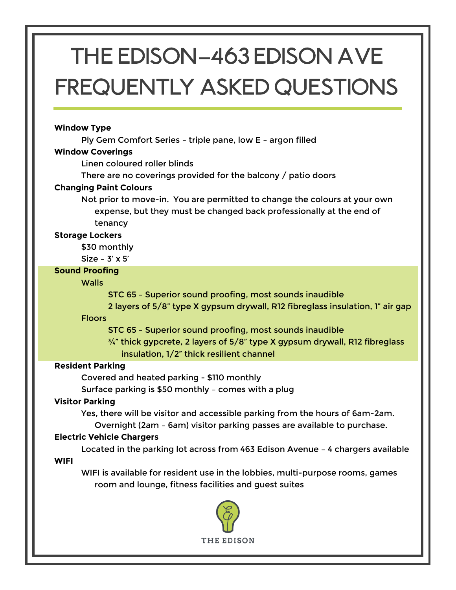# THE EDISON**—**463 Edison Ave Frequently asked questions

# **Window Type**

Ply Gem Comfort Series – triple pane, low E – argon filled

# **Window Coverings**

Linen coloured roller blinds

There are no coverings provided for the balcony / patio doors

# **Changing Paint Colours**

Not prior to move-in. You are permitted to change the colours at your own expense, but they must be changed back professionally at the end of tenancy

# **Storage Lockers**

\$30 monthly

Size – 3' x 5'

# **Sound Proofing**

# **Walls**

STC 65 – Superior sound proofing, most sounds inaudible

2 layers of 5/8" type X gypsum drywall, R12 fibreglass insulation, 1" air gap

Floors

STC 65 – Superior sound proofing, most sounds inaudible

 $\frac{3}{4}$ " thick gypcrete, 2 layers of 5/8" type X gypsum drywall, R12 fibreglass insulation, 1/2" thick resilient channel

# **Resident Parking**

Covered and heated parking - \$110 monthly

Surface parking is \$50 monthly – comes with a plug

# **Visitor Parking**

Yes, there will be visitor and accessible parking from the hours of 6am-2am. Overnight (2am – 6am) visitor parking passes are available to purchase.

# **Electric Vehicle Chargers**

Located in the parking lot across from 463 Edison Avenue – 4 chargers available **WIFI**

WIFI is available for resident use in the lobbies, multi-purpose rooms, games room and lounge, fitness facilities and guest suites

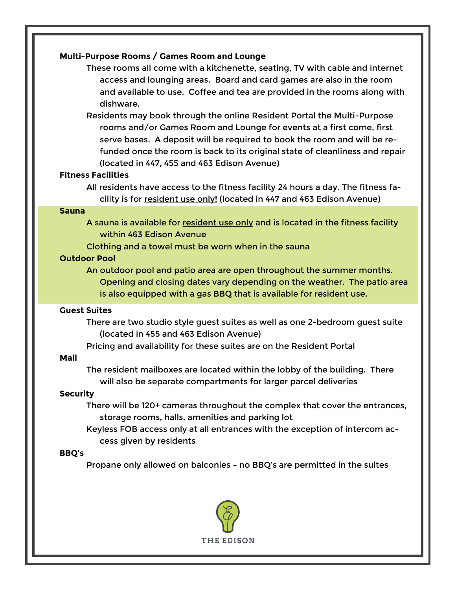## **Multi-Purpose Rooms / Games Room and Lounge**

These rooms all come with a kitchenette, seating, TV with cable and internet access and lounging areas. Board and card games are also in the room and available to use. Coffee and tea are provided in the rooms along with dishware.

Residents may book through the online Resident Portal the Multi-Purpose rooms and/or Games Room and Lounge for events at a first come, first serve bases. A deposit will be required to book the room and will be refunded once the room is back to its original state of cleanliness and repair (located in 447, 455 and 463 Edison Avenue)

#### **Fitness Facilities**

All residents have access to the fitness facility 24 hours a day. The fitness facility is for resident use only! (located in 447 and 463 Edison Avenue)

#### **Sauna**

A sauna is available for resident use only and is located in the fitness facility within 463 Edison Avenue

Clothing and a towel must be worn when in the sauna

# **Outdoor Pool**

An outdoor pool and patio area are open throughout the summer months. Opening and closing dates vary depending on the weather. The patio area is also equipped with a gas BBQ that is available for resident use.

#### **Guest Suites**

There are two studio style guest suites as well as one 2-bedroom guest suite (located in 455 and 463 Edison Avenue)

Pricing and availability for these suites are on the Resident Portal

## **Mail**

The resident mailboxes are located within the lobby of the building. There will also be separate compartments for larger parcel deliveries

# **Security**

There will be 120+ cameras throughout the complex that cover the entrances, storage rooms, halls, amenities and parking lot

Keyless FOB access only at all entrances with the exception of intercom access given by residents

# **BBQ's**

Propane only allowed on balconies – no BBQ's are permitted in the suites